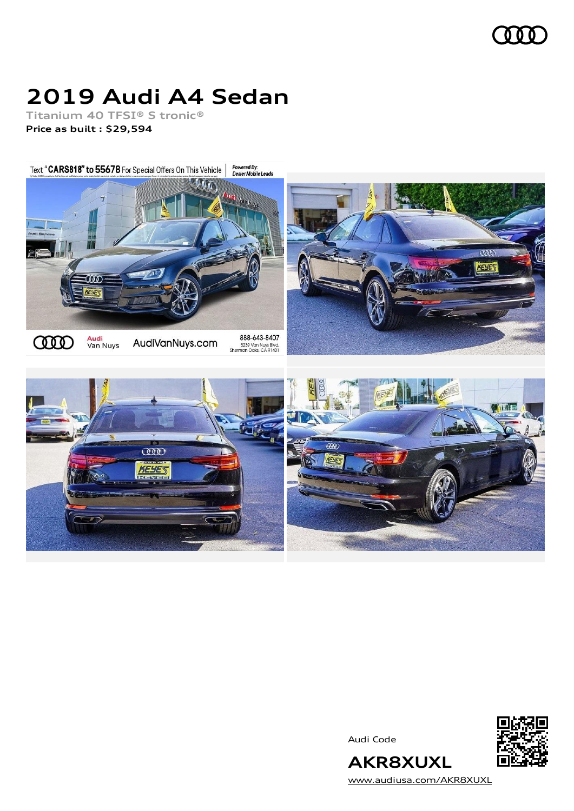

# **2019 Audi A4 Sedan**

**Titanium 40 TFSI® S tronic® Price as built [:](#page-8-0) \$29,594**

Powered By:<br>Dealer Mobile Leads Text "CARS818" to 55678 For Special Offers On This Vehicle



Audi Code



**AKR8XUXL** [www.audiusa.com/AKR8XUXL](https://www.audiusa.com/AKR8XUXL)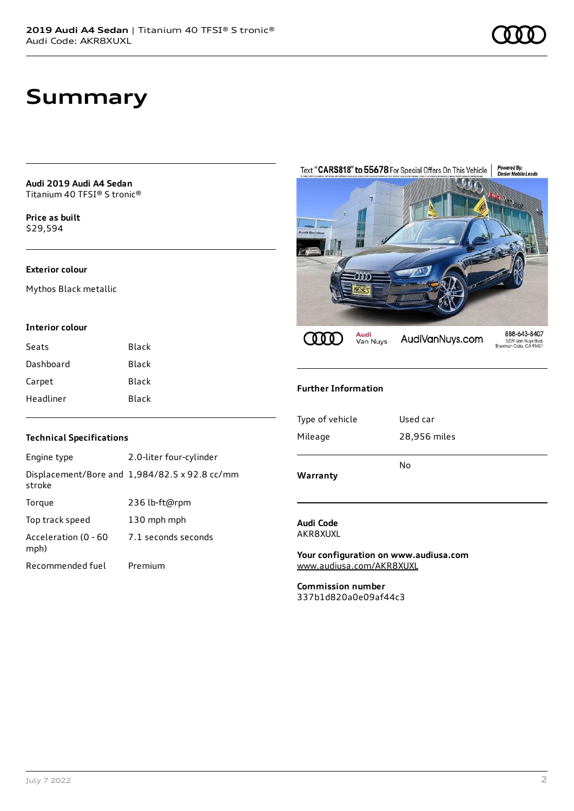## **Summary**

**Audi 2019 Audi A4 Sedan** Titanium 40 TFSI® S tronic®

**Price as buil[t](#page-8-0)** \$29,594

#### **Exterior colour**

Mythos Black metallic

#### **Interior colour**

| Seats     | Black |
|-----------|-------|
| Dashboard | Black |
| Carpet    | Black |
| Headliner | Black |

#### **Technical Specifications**

| Engine type                  | 2.0-liter four-cylinder                       |
|------------------------------|-----------------------------------------------|
| stroke                       | Displacement/Bore and 1,984/82.5 x 92.8 cc/mm |
| Torque                       | 236 lb-ft@rpm                                 |
| Top track speed              | 130 mph mph                                   |
| Acceleration (0 - 60<br>mph) | 7.1 seconds seconds                           |
| Recommended fuel             | Premium                                       |



#### **Further Information**

#### **Audi Code** AKR8XUXL

**Your configuration on www.audiusa.com** [www.audiusa.com/AKR8XUXL](https://www.audiusa.com/AKR8XUXL)

**Commission number** 337b1d820a0e09af44c3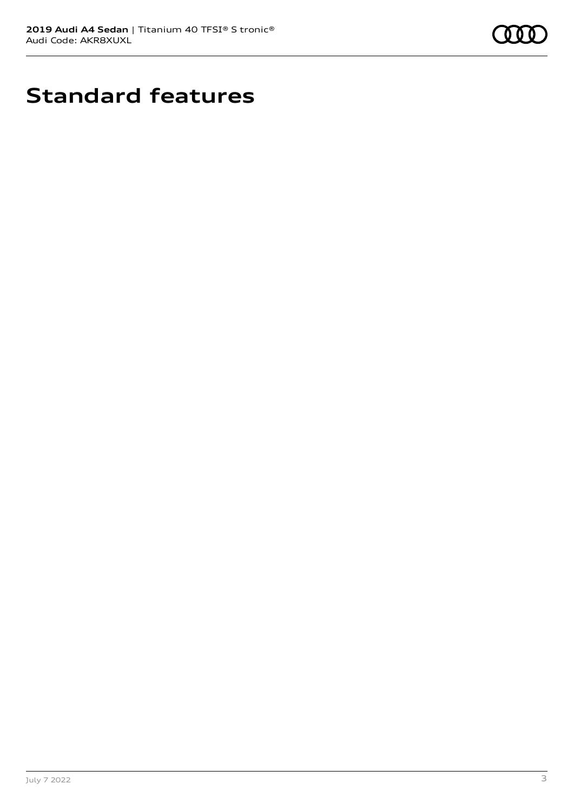

# **Standard features**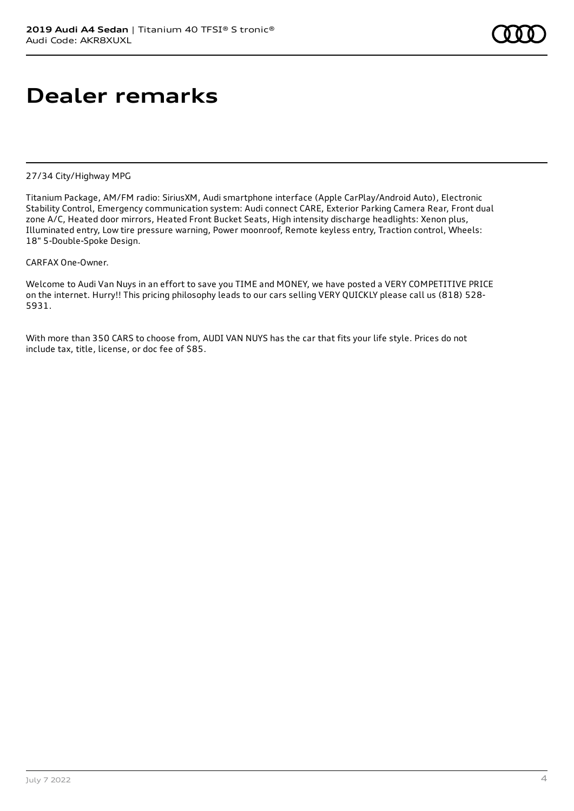## **Dealer remarks**

#### 27/34 City/Highway MPG

Titanium Package, AM/FM radio: SiriusXM, Audi smartphone interface (Apple CarPlay/Android Auto), Electronic Stability Control, Emergency communication system: Audi connect CARE, Exterior Parking Camera Rear, Front dual zone A/C, Heated door mirrors, Heated Front Bucket Seats, High intensity discharge headlights: Xenon plus, Illuminated entry, Low tire pressure warning, Power moonroof, Remote keyless entry, Traction control, Wheels: 18" 5-Double-Spoke Design.

#### CARFAX One-Owner.

Welcome to Audi Van Nuys in an effort to save you TIME and MONEY, we have posted a VERY COMPETITIVE PRICE on the internet. Hurry!! This pricing philosophy leads to our cars selling VERY QUICKLY please call us (818) 528- 5931.

With more than 350 CARS to choose from, AUDI VAN NUYS has the car that fits your life style. Prices do not include tax, title, license, or doc fee of \$85.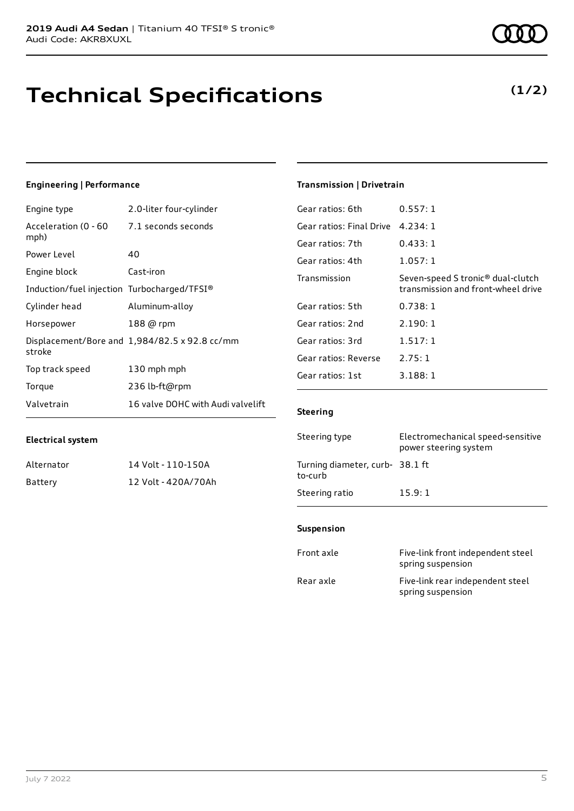# **Technical Specifications**

### **Engineering | Performance**

| Engine type                                 | 2.0-liter four-cylinder                       |
|---------------------------------------------|-----------------------------------------------|
| Acceleration (0 - 60<br>mph)                | 7.1 seconds seconds                           |
| Power Level                                 | 40                                            |
| Engine block                                | Cast-iron                                     |
| Induction/fuel injection Turbocharged/TFSI® |                                               |
| Cylinder head                               | Aluminum-alloy                                |
| Horsepower                                  | 188 @ rpm                                     |
| stroke                                      | Displacement/Bore and 1,984/82.5 x 92.8 cc/mm |
| Top track speed                             | 130 mph mph                                   |
| Torque                                      | 236 lb-ft@rpm                                 |
| Valvetrain                                  | 16 valve DOHC with Audi valvelift             |

Alternator 14 Volt - 110-150A Battery 12 Volt - 420A/70Ah

### **Transmission | Drivetrain**

| Gear ratios: 6th         | 0.557:1                                                                             |
|--------------------------|-------------------------------------------------------------------------------------|
| Gear ratios: Final Drive | 4.234:1                                                                             |
| Gear ratios: 7th         | 0.433:1                                                                             |
| Gear ratios: 4th         | 1.057:1                                                                             |
| Transmission             | Seven-speed S tronic <sup>®</sup> dual-clutch<br>transmission and front-wheel drive |
| Gear ratios: 5th         | 0.738:1                                                                             |
| Gear ratios: 2nd         | 2.190:1                                                                             |
| Gear ratios: 3rd         | 1.517:1                                                                             |
| Gear ratios: Reverse     | 2.75:1                                                                              |
| Gear ratios: 1st         | 3.188:1                                                                             |
|                          |                                                                                     |

#### **Steering**

| Steering type                             | Electromechanical speed-sensitive<br>power steering system |
|-------------------------------------------|------------------------------------------------------------|
| Turning diameter, curb-38.1 ft<br>to-curb |                                                            |
| Steering ratio                            | 15.9:1                                                     |

#### **Suspension**

| Front axle | Five-link front independent steel<br>spring suspension |
|------------|--------------------------------------------------------|
| Rear axle  | Five-link rear independent steel<br>spring suspension  |

**Electrical system**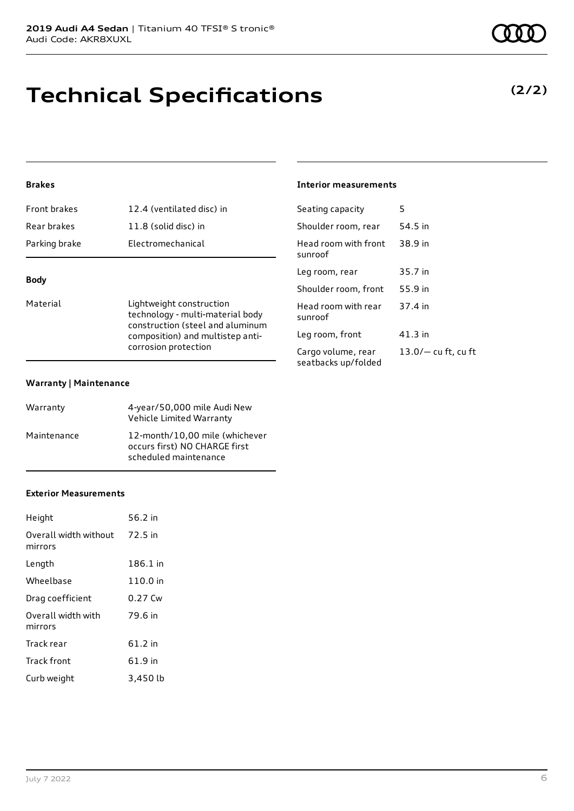## **Technical Specifications**

### **Brakes**

| Parking brake | Electromechanical         |
|---------------|---------------------------|
| Rear brakes   | 11.8 (solid disc) in      |
| Front brakes  | 12.4 (ventilated disc) in |

### **Body**

Material **Lightweight construction** technology - multi-material body construction (steel and aluminum composition) and multistep anticorrosion protection

#### **Warranty | Maintenance**

| Warranty    | 4-year/50,000 mile Audi New<br>Vehicle Limited Warranty                                  |
|-------------|------------------------------------------------------------------------------------------|
| Maintenance | 12-month/10,00 mile (whichever<br>occurs first) NO CHARGE first<br>scheduled maintenance |

#### **Exterior Measurements**

| Height                           | 56.2 in  |
|----------------------------------|----------|
| Overall width without<br>mirrors | 72.5 in  |
| Length                           | 186.1 in |
| Wheelbase                        | 110.0 in |
| Drag coefficient                 | 0.27 Cw  |
| Overall width with<br>mirrors    | 79.6 in  |
| Track rear                       | 61.2 in  |
| <b>Track front</b>               | 61.9 in  |
| Curb weight                      | 3,450 lb |

### **Interior measurements**

| Seating capacity                          | 5                     |
|-------------------------------------------|-----------------------|
| Shoulder room, rear                       | 54.5 in               |
| Head room with front<br>sunroof           | 38.9 in               |
| Leg room, rear                            | 35.7 in               |
| Shoulder room, front                      | 55.9 in               |
| Head room with rear<br>sunroof            | 37.4 in               |
| Leg room, front                           | 41.3 in               |
| Cargo volume, rear<br>seatbacks up/folded | $13.0/-$ cu ft, cu ft |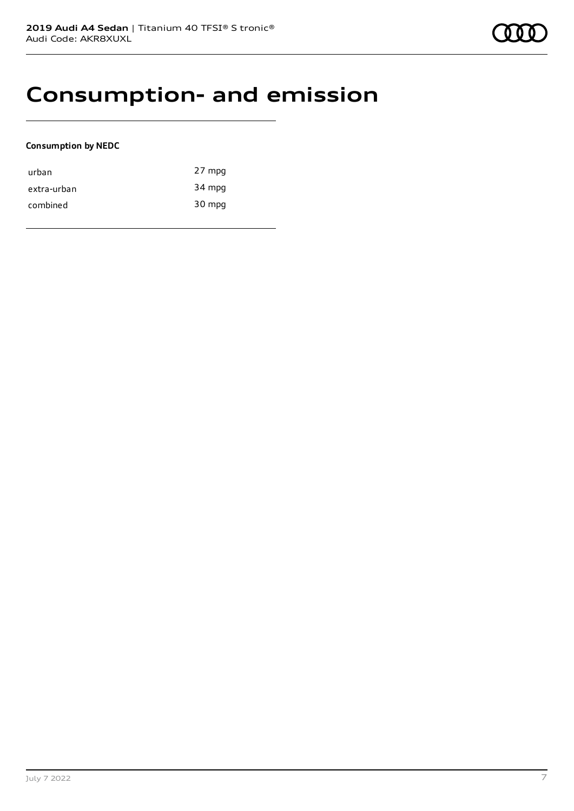### **Consumption- and emission**

#### **Consumption by NEDC**

| urban       | 27 mpg |
|-------------|--------|
| extra-urban | 34 mpg |
| combined    | 30 mpg |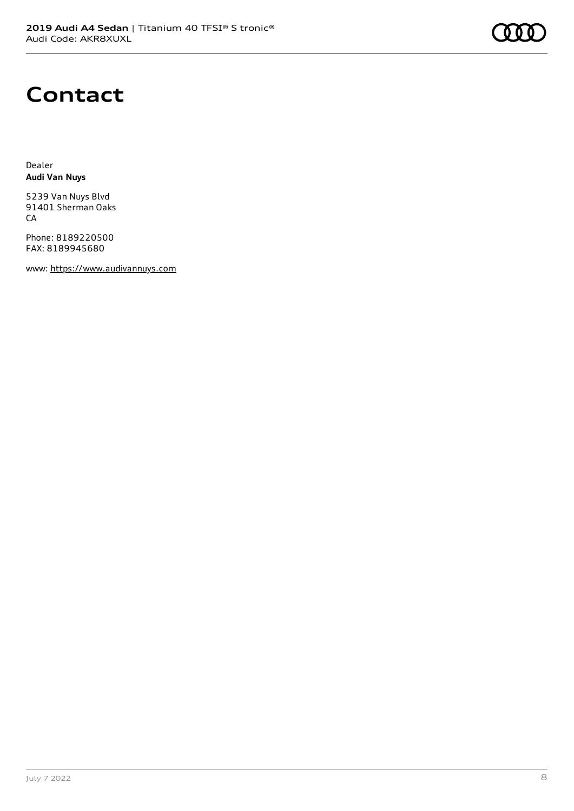## **Contact**

Dealer **Audi Van Nuys**

5239 Van Nuys Blvd 91401 Sherman Oaks CA

Phone: 8189220500 FAX: 8189945680

www: [https://www.audivannuys.com](https://www.audivannuys.com/)